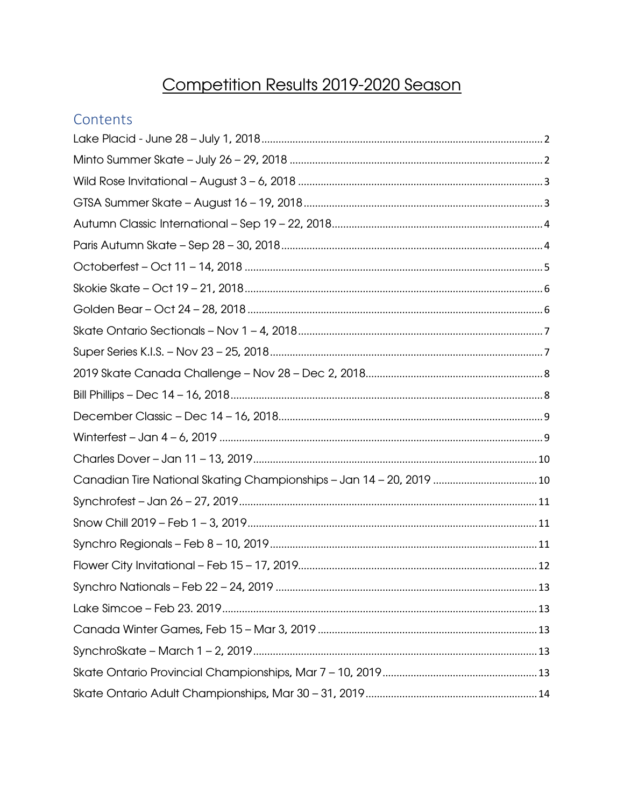## Competition Results 2019-2020 Season

#### Contents

| Canadian Tire National Skating Championships - Jan 14 - 20, 2019  10 |  |
|----------------------------------------------------------------------|--|
|                                                                      |  |
|                                                                      |  |
|                                                                      |  |
|                                                                      |  |
|                                                                      |  |
|                                                                      |  |
|                                                                      |  |
|                                                                      |  |
|                                                                      |  |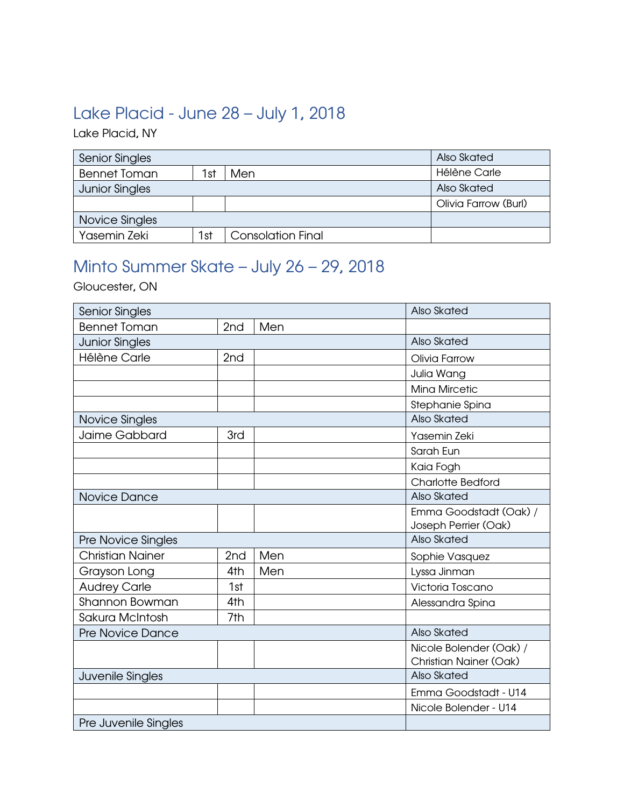### <span id="page-1-0"></span>Lake Placid - June 28 – July 1, 2018

Lake Placid, NY

| <b>Senior Singles</b> |     |                          | Also Skated          |
|-----------------------|-----|--------------------------|----------------------|
| <b>Bennet Toman</b>   | 1st | Men                      | Hélène Carle         |
| <b>Junior Singles</b> |     |                          | Also Skated          |
|                       |     |                          | Olivia Farrow (Burl) |
| Novice Singles        |     |                          |                      |
| Yasemin Zeki          | 1st | <b>Consolation Final</b> |                      |

## <span id="page-1-1"></span>Minto Summer Skate – July 26 – 29, 2018

Gloucester, ON

| <b>Senior Singles</b>   |                 |     | Also Skated                   |
|-------------------------|-----------------|-----|-------------------------------|
| <b>Bennet Toman</b>     | 2nd             | Men |                               |
| <b>Junior Singles</b>   |                 |     | Also Skated                   |
| Hélène Carle            | 2 <sub>nd</sub> |     | Olivia Farrow                 |
|                         |                 |     | Julia Wang                    |
|                         |                 |     | <b>Mina Mircetic</b>          |
|                         |                 |     | Stephanie Spina               |
| Novice Singles          |                 |     | Also Skated                   |
| Jaime Gabbard           | 3rd             |     | Yasemin Zeki                  |
|                         |                 |     | Sarah Eun                     |
|                         |                 |     | Kaia Fogh                     |
|                         |                 |     | <b>Charlotte Bedford</b>      |
| Novice Dance            |                 |     | Also Skated                   |
|                         |                 |     | Emma Goodstadt (Oak) /        |
|                         |                 |     | Joseph Perrier (Oak)          |
| Pre Novice Singles      |                 |     | Also Skated                   |
| <b>Christian Nainer</b> | 2 <sub>nd</sub> | Men | Sophie Vasquez                |
| Grayson Long            | 4th             | Men | Lyssa Jinman                  |
| <b>Audrey Carle</b>     | 1st             |     | Victoria Toscano              |
| Shannon Bowman          | 4th             |     | Alessandra Spina              |
| Sakura McIntosh         | 7th             |     |                               |
| <b>Pre Novice Dance</b> |                 |     | Also Skated                   |
|                         |                 |     | Nicole Bolender (Oak) /       |
|                         |                 |     | <b>Christian Nainer (Oak)</b> |
| Juvenile Singles        |                 |     | Also Skated                   |
|                         |                 |     | Emma Goodstadt - U14          |
|                         |                 |     | Nicole Bolender - U14         |
| Pre Juvenile Singles    |                 |     |                               |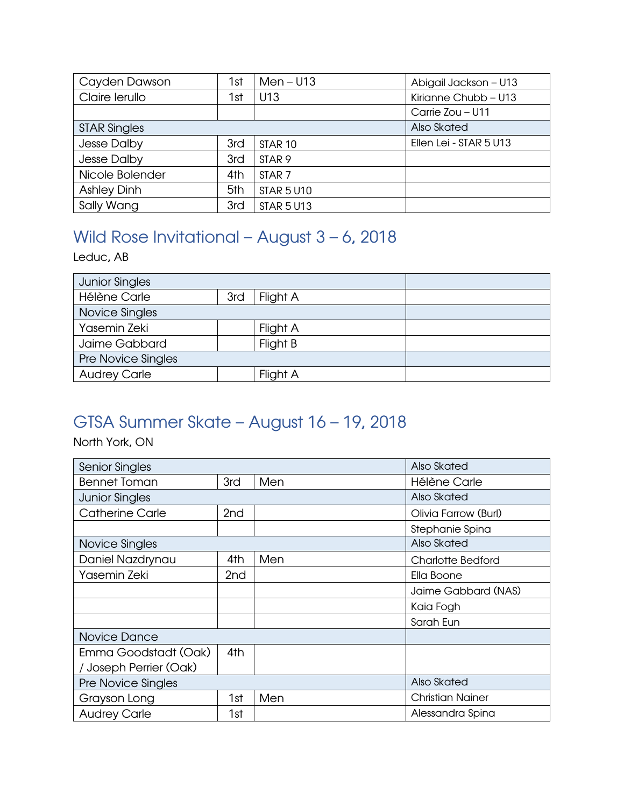| Cayden Dawson       | 1st | $Men - U13$        | Abigail Jackson - U13  |
|---------------------|-----|--------------------|------------------------|
| Claire lerullo      | 1st | U13                | Kirianne Chubb - U13   |
|                     |     |                    | Carrie Zou - U11       |
| <b>STAR Singles</b> |     |                    | Also Skated            |
| Jesse Dalby         | 3rd | STAR <sub>10</sub> | Ellen Lei - STAR 5 U13 |
| Jesse Dalby         | 3rd | STAR <sub>9</sub>  |                        |
| Nicole Bolender     | 4th | STAR <sub>7</sub>  |                        |
| <b>Ashley Dinh</b>  | 5th | <b>STAR 5 U10</b>  |                        |
| Sally Wang          | 3rd | <b>STAR 5 U13</b>  |                        |

# <span id="page-2-0"></span>Wild Rose Invitational – August 3 – 6, 2018

Leduc, AB

| <b>Junior Singles</b> |     |          |  |
|-----------------------|-----|----------|--|
| <b>Hélène Carle</b>   | 3rd | Flight A |  |
| Novice Singles        |     |          |  |
| Yasemin Zeki          |     | Flight A |  |
| Jaime Gabbard         |     | Flight B |  |
| Pre Novice Singles    |     |          |  |
| <b>Audrey Carle</b>   |     | Flight A |  |

## <span id="page-2-1"></span>GTSA Summer Skate – August 16 – 19, 2018

North York, ON

| <b>Senior Singles</b>     |                 |     | Also Skated              |
|---------------------------|-----------------|-----|--------------------------|
| <b>Bennet Toman</b>       | 3rd             | Men | Hélène Carle             |
| <b>Junior Singles</b>     |                 |     | Also Skated              |
| <b>Catherine Carle</b>    | 2 <sub>nd</sub> |     | Olivia Farrow (Burl)     |
|                           |                 |     | Stephanie Spina          |
| Novice Singles            |                 |     | Also Skated              |
| Daniel Nazdrynau          | 4th             | Men | <b>Charlotte Bedford</b> |
| Yasemin Zeki              | 2nd             |     | Ella Boone               |
|                           |                 |     | Jaime Gabbard (NAS)      |
|                           |                 |     | Kaia Fogh                |
|                           |                 |     | Sarah Eun                |
| Novice Dance              |                 |     |                          |
| Emma Goodstadt (Oak)      | 4th             |     |                          |
| / Joseph Perrier (Oak)    |                 |     |                          |
| <b>Pre Novice Singles</b> |                 |     | Also Skated              |
| Grayson Long              | 1st             | Men | <b>Christian Nainer</b>  |
| <b>Audrey Carle</b>       | 1st             |     | Alessandra Spina         |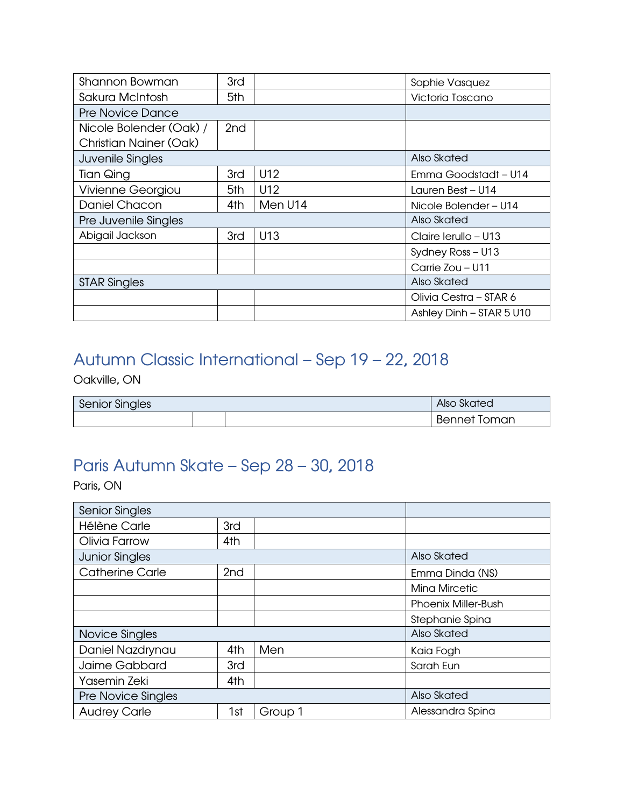| Shannon Bowman                | 3rd             |         | Sophie Vasquez           |
|-------------------------------|-----------------|---------|--------------------------|
| Sakura McIntosh               | 5th             |         | Victoria Toscano         |
| <b>Pre Novice Dance</b>       |                 |         |                          |
| Nicole Bolender (Oak) /       | 2 <sub>nd</sub> |         |                          |
| <b>Christian Nainer (Oak)</b> |                 |         |                          |
| Juvenile Singles              |                 |         | Also Skated              |
| <b>Tian Qing</b>              | 3rd             | U12     | Emma Goodstadt - U14     |
| Vivienne Georgiou             | 5th             | U12     | Lauren Best - U14        |
| Daniel Chacon                 | 4th             | Men U14 | Nicole Bolender - U14    |
| Pre Juvenile Singles          |                 |         | Also Skated              |
| Abigail Jackson               | 3rd             | U13     | Claire Ierullo - U13     |
|                               |                 |         | Sydney Ross - U13        |
|                               |                 |         | Carrie Zou - U11         |
| <b>STAR Singles</b>           |                 |         | Also Skated              |
|                               |                 |         | Olivia Cestra - STAR 6   |
|                               |                 |         | Ashley Dinh - STAR 5 U10 |

## <span id="page-3-0"></span>Autumn Classic International – Sep 19 – 22, 2018

Oakville, ON

| <b>Senior Singles</b> | Also Skated |  |                     |
|-----------------------|-------------|--|---------------------|
|                       |             |  | <b>Bennet Toman</b> |

## <span id="page-3-1"></span>Paris Autumn Skate – Sep 28 – 30, 2018

Paris, ON

| <b>Senior Singles</b>     |                 |         |                            |
|---------------------------|-----------------|---------|----------------------------|
| Hélène Carle              | 3rd             |         |                            |
| Olivia Farrow             | 4th             |         |                            |
| <b>Junior Singles</b>     |                 |         | Also Skated                |
| <b>Catherine Carle</b>    | 2 <sub>nd</sub> |         | Emma Dinda (NS)            |
|                           |                 |         | <b>Mina Mircetic</b>       |
|                           |                 |         | <b>Phoenix Miller-Bush</b> |
|                           |                 |         | Stephanie Spina            |
| Novice Singles            |                 |         | Also Skated                |
| Daniel Nazdrynau          | 4th             | Men     | Kaia Fogh                  |
| Jaime Gabbard             | 3rd             |         | Sarah Eun                  |
| Yasemin Zeki              | 4th             |         |                            |
| <b>Pre Novice Singles</b> |                 |         | Also Skated                |
| <b>Audrey Carle</b>       | 1st             | Group 1 | Alessandra Spina           |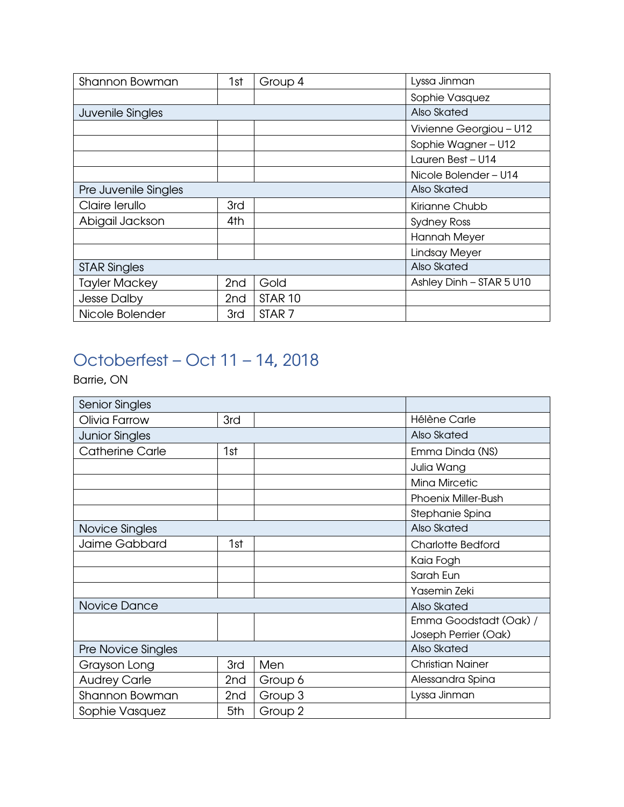| Shannon Bowman       | 1st             | Group 4            | Lyssa Jinman             |
|----------------------|-----------------|--------------------|--------------------------|
|                      |                 |                    | Sophie Vasquez           |
| Juvenile Singles     |                 |                    | Also Skated              |
|                      |                 |                    | Vivienne Georgiou - U12  |
|                      |                 |                    | Sophie Wagner - U12      |
|                      |                 |                    | Lauren Best - U14        |
|                      |                 |                    | Nicole Bolender - U14    |
| Pre Juvenile Singles |                 |                    | Also Skated              |
| Claire lerullo       | 3rd             |                    | Kirianne Chubb           |
| Abigail Jackson      | 4th             |                    | <b>Sydney Ross</b>       |
|                      |                 |                    | <b>Hannah Meyer</b>      |
|                      |                 |                    | Lindsay Meyer            |
| <b>STAR Singles</b>  |                 |                    | Also Skated              |
| <b>Tayler Mackey</b> | 2 <sub>nd</sub> | Gold               | Ashley Dinh - STAR 5 U10 |
| <b>Jesse Dalby</b>   | 2 <sub>nd</sub> | STAR <sub>10</sub> |                          |
| Nicole Bolender      | 3rd             | STAR <sub>7</sub>  |                          |

# <span id="page-4-0"></span>Octoberfest – Oct 11 – 14, 2018

Barrie, ON

| <b>Senior Singles</b>  |     |         |                            |
|------------------------|-----|---------|----------------------------|
| Olivia Farrow          | 3rd |         | Hélène Carle               |
| <b>Junior Singles</b>  |     |         | Also Skated                |
| <b>Catherine Carle</b> | 1st |         | Emma Dinda (NS)            |
|                        |     |         | Julia Wang                 |
|                        |     |         | <b>Mina Mircetic</b>       |
|                        |     |         | <b>Phoenix Miller-Bush</b> |
|                        |     |         | Stephanie Spina            |
| Novice Singles         |     |         | Also Skated                |
| Jaime Gabbard          | 1st |         | Charlotte Bedford          |
|                        |     |         | Kaia Fogh                  |
|                        |     |         | Sarah Eun                  |
|                        |     |         | Yasemin Zeki               |
| Novice Dance           |     |         | Also Skated                |
|                        |     |         | Emma Goodstadt (Oak) /     |
|                        |     |         | Joseph Perrier (Oak)       |
| Pre Novice Singles     |     |         | Also Skated                |
| Grayson Long           | 3rd | Men     | <b>Christian Nainer</b>    |
| <b>Audrey Carle</b>    | 2nd | Group 6 | Alessandra Spina           |
| Shannon Bowman         | 2nd | Group 3 | Lyssa Jinman               |
| Sophie Vasquez         | 5th | Group 2 |                            |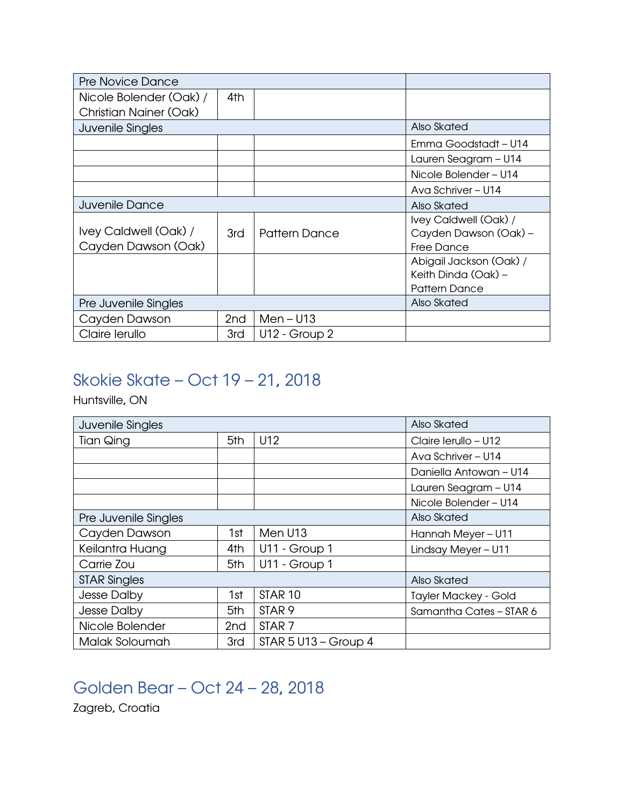| <b>Pre Novice Dance</b>                      |                 |                      |                                                                        |
|----------------------------------------------|-----------------|----------------------|------------------------------------------------------------------------|
| Nicole Bolender (Oak) /                      | 4th             |                      |                                                                        |
| <b>Christian Nainer (Oak)</b>                |                 |                      |                                                                        |
| Juvenile Singles                             |                 |                      | Also Skated                                                            |
|                                              |                 |                      | Emma Goodstadt - U14                                                   |
|                                              |                 |                      | Lauren Seagram - U14                                                   |
|                                              |                 |                      | Nicole Bolender - U14                                                  |
|                                              |                 |                      | Ava Schriver - U14                                                     |
| <b>Juvenile Dance</b>                        |                 |                      | Also Skated                                                            |
| Ivey Caldwell (Oak) /<br>Cayden Dawson (Oak) | 3rd             | <b>Pattern Dance</b> | Ivey Caldwell (Oak) /<br>Cayden Dawson (Oak) -<br><b>Free Dance</b>    |
|                                              |                 |                      | Abigail Jackson (Oak) /<br>Keith Dinda (Oak) -<br><b>Pattern Dance</b> |
| Pre Juvenile Singles                         |                 |                      | Also Skated                                                            |
| Cayden Dawson                                | 2 <sub>nd</sub> | $Men - U13$          |                                                                        |
| Claire lerullo                               | 3rd             | U12 - Group 2        |                                                                        |

### <span id="page-5-0"></span>Skokie Skate – Oct 19 – 21, 2018

Huntsville, ON

| <b>Juvenile Singles</b> |                 |                        | Also Skated                 |
|-------------------------|-----------------|------------------------|-----------------------------|
| Tian Qing               | 5th             | U12                    | Claire Ierullo - U12        |
|                         |                 |                        | Ava Schriver - U14          |
|                         |                 |                        | Daniella Antowan - U14      |
|                         |                 |                        | Lauren Seagram - U14        |
|                         |                 |                        | Nicole Bolender - U14       |
| Pre Juvenile Singles    |                 |                        | Also Skated                 |
| Cayden Dawson           | 1st             | Men U13                | Hannah Meyer - U11          |
| Keilantra Huang         | 4th             | U11 - Group 1          | Lindsay Meyer - U11         |
| Carrie Zou              | 5th             | U11 - Group 1          |                             |
| <b>STAR Singles</b>     |                 |                        | Also Skated                 |
| Jesse Dalby             | 1st             | STAR <sub>10</sub>     | <b>Tayler Mackey - Gold</b> |
| Jesse Dalby             | 5th             | STAR <sub>9</sub>      | Samantha Cates - STAR 6     |
| Nicole Bolender         | 2 <sub>nd</sub> | STAR <sub>7</sub>      |                             |
| Malak Soloumah          | 3rd             | $STAR 5 U13 - Group 4$ |                             |

## <span id="page-5-1"></span>Golden Bear – Oct 24 – 28, 2018

Zagreb, Croatia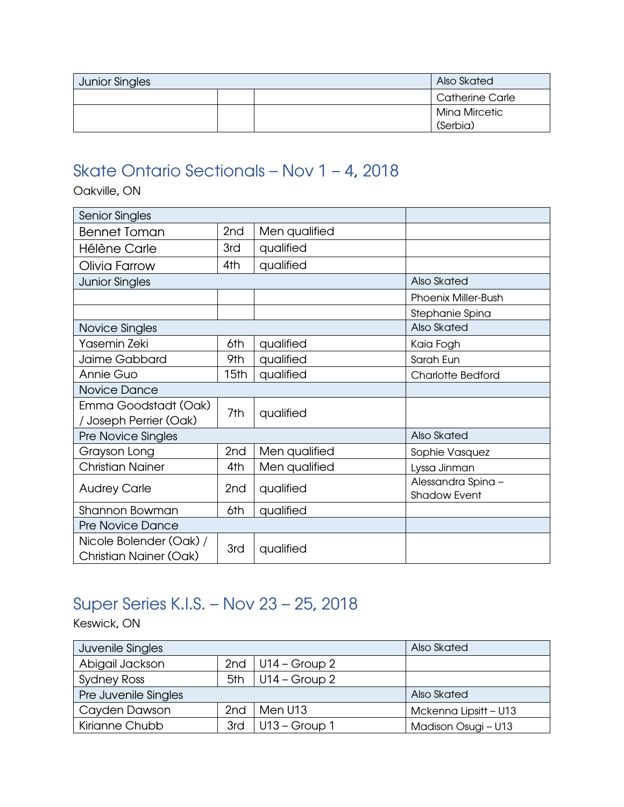| <b>Junior Singles</b> |  |  | Also Skated               |
|-----------------------|--|--|---------------------------|
|                       |  |  | Catherine Carle           |
|                       |  |  | Mina Mircetic<br>(Serbia) |

## <span id="page-6-0"></span>Skate Ontario Sectionals – Nov 1 – 4, 2018

Oakville, ON

| <b>Senior Singles</b>                                    |                  |               |                                           |
|----------------------------------------------------------|------------------|---------------|-------------------------------------------|
| <b>Bennet Toman</b>                                      | 2nd              | Men qualified |                                           |
| Hélène Carle                                             | 3rd              | qualified     |                                           |
| Olivia Farrow                                            | 4th              | qualified     |                                           |
| <b>Junior Singles</b>                                    |                  |               | Also Skated                               |
|                                                          |                  |               | <b>Phoenix Miller-Bush</b>                |
|                                                          |                  |               | Stephanie Spina                           |
| Novice Singles                                           |                  |               | Also Skated                               |
| Yasemin Zeki                                             | 6th              | qualified     | Kaia Fogh                                 |
| Jaime Gabbard                                            | 9th              | qualified     | Sarah Eun                                 |
| Annie Guo                                                | 15 <sub>th</sub> | qualified     | <b>Charlotte Bedford</b>                  |
| Novice Dance                                             |                  |               |                                           |
| Emma Goodstadt (Oak)<br>Joseph Perrier (Oak)             | 7th              | qualified     |                                           |
| Pre Novice Singles                                       |                  |               | Also Skated                               |
| Grayson Long                                             | 2 <sub>nd</sub>  | Men qualified | Sophie Vasquez                            |
| <b>Christian Nainer</b>                                  | 4th              | Men qualified | Lyssa Jinman                              |
| <b>Audrey Carle</b>                                      | 2nd              | qualified     | Alessandra Spina -<br><b>Shadow Event</b> |
| Shannon Bowman                                           | 6th              | qualified     |                                           |
| <b>Pre Novice Dance</b>                                  |                  |               |                                           |
| Nicole Bolender (Oak) /<br><b>Christian Nainer (Oak)</b> | 3rd              | qualified     |                                           |

## <span id="page-6-1"></span>Super Series K.I.S. – Nov 23 – 25, 2018

Keswick, ON

| Juvenile Singles     |                 |                     | Also Skated           |
|----------------------|-----------------|---------------------|-----------------------|
| Abigail Jackson      |                 | 2nd $ U14 - Group2$ |                       |
| <b>Sydney Ross</b>   | 5th             | $ U14 - Group2 $    |                       |
| Pre Juvenile Singles |                 |                     | Also Skated           |
| Cayden Dawson        | 2 <sub>nd</sub> | Men U13             | Mckenna Lipsitt - U13 |
| Kirianne Chubb       | 3rd             | $U13 - Group 1$     | Madison Osugi - U13   |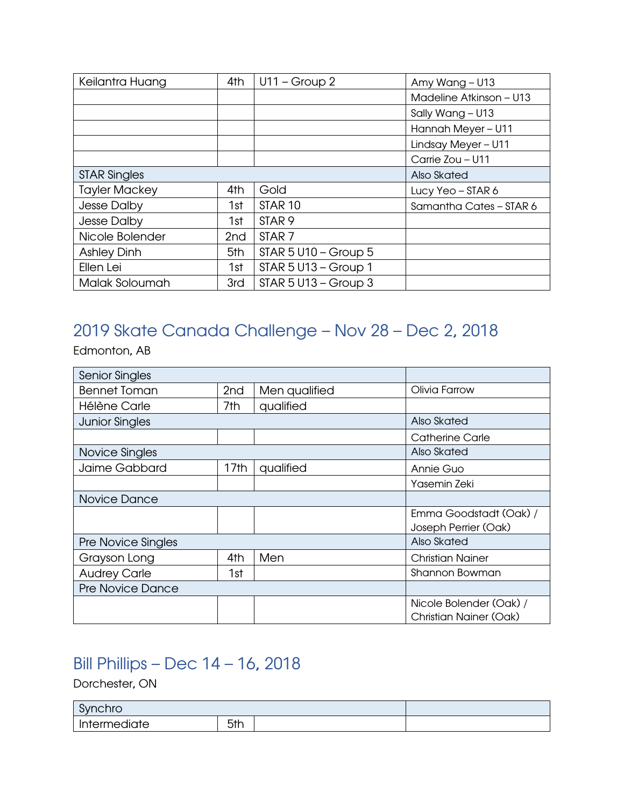| Keilantra Huang      | 4th             | $U11 - Group 2$        | Amy Wang - U13          |
|----------------------|-----------------|------------------------|-------------------------|
|                      |                 |                        | Madeline Atkinson - U13 |
|                      |                 |                        | Sally Wang - U13        |
|                      |                 |                        | Hannah Meyer - U11      |
|                      |                 |                        | Lindsay Meyer - U11     |
|                      |                 |                        | Carrie Zou - U11        |
| <b>STAR Singles</b>  |                 |                        | Also Skated             |
| <b>Tayler Mackey</b> | 4th             | Gold                   | Lucy Yeo $-$ STAR 6     |
| Jesse Dalby          | 1st             | STAR <sub>10</sub>     | Samantha Cates - STAR 6 |
| Jesse Dalby          | 1st             | STAR <sub>9</sub>      |                         |
| Nicole Bolender      | 2 <sub>nd</sub> | STAR <sub>7</sub>      |                         |
| <b>Ashley Dinh</b>   | 5th             | $STAR 5 U10 - Group 5$ |                         |
| Ellen Lei            | 1st             | $STAR 5 U13 - Group 1$ |                         |
| Malak Soloumah       | 3rd             | $STAR 5 U13 - Group 3$ |                         |

## <span id="page-7-0"></span>2019 Skate Canada Challenge – Nov 28 – Dec 2, 2018

Edmonton, AB

| <b>Senior Singles</b>     |                 |               |                                                          |
|---------------------------|-----------------|---------------|----------------------------------------------------------|
| <b>Bennet Toman</b>       | 2 <sub>nd</sub> | Men qualified | Olivia Farrow                                            |
| Hélène Carle              | 7th             | qualified     |                                                          |
| <b>Junior Singles</b>     |                 |               | Also Skated                                              |
|                           |                 |               | Catherine Carle                                          |
| Novice Singles            |                 |               | Also Skated                                              |
| Jaime Gabbard             | 17th            | qualified     | Annie Guo                                                |
|                           |                 |               | Yasemin Zeki                                             |
| Novice Dance              |                 |               |                                                          |
|                           |                 |               | Emma Goodstadt (Oak) /<br>Joseph Perrier (Oak)           |
| <b>Pre Novice Singles</b> |                 |               | Also Skated                                              |
| Grayson Long              | 4th             | Men           | <b>Christian Nainer</b>                                  |
| <b>Audrey Carle</b>       | 1st             |               | Shannon Bowman                                           |
| <b>Pre Novice Dance</b>   |                 |               |                                                          |
|                           |                 |               | Nicole Bolender (Oak) /<br><b>Christian Nainer (Oak)</b> |

#### <span id="page-7-1"></span>Bill Phillips – Dec 14 – 16, 2018

Dorchester, ON

| C <sub>1</sub><br>nchro |     |  |  |
|-------------------------|-----|--|--|
| <br>diate<br>'ermec     | 5th |  |  |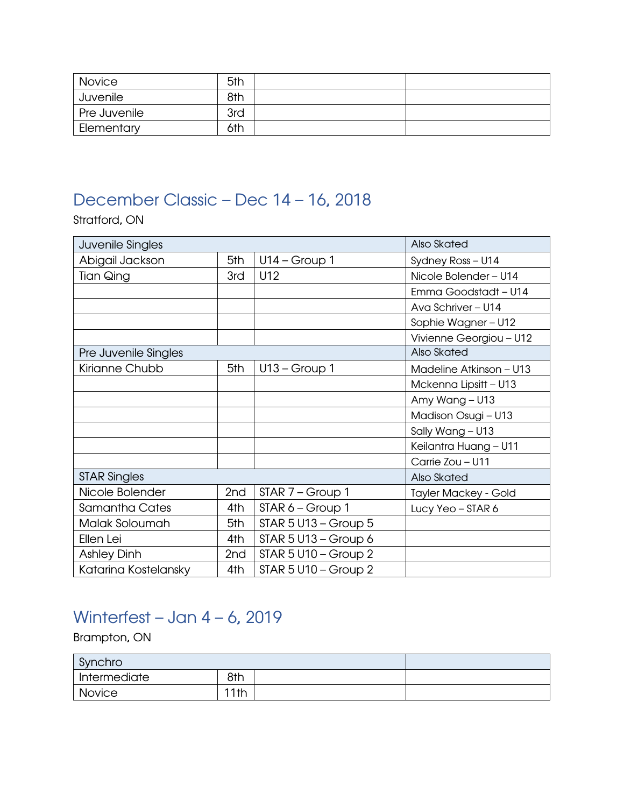| Novice       | 5th |  |
|--------------|-----|--|
| Juvenile     | 8th |  |
| Pre Juvenile | 3rd |  |
| Elementary   | 6th |  |

### <span id="page-8-0"></span>December Classic – Dec 14 – 16, 2018

Stratford, ON

| Juvenile Singles     |                 |                          | Also Skated                 |
|----------------------|-----------------|--------------------------|-----------------------------|
| Abigail Jackson      | 5th             | $U14 - Group 1$          | Sydney Ross - U14           |
| <b>Tian Qing</b>     | 3rd             | U12                      | Nicole Bolender - U14       |
|                      |                 |                          | Emma Goodstadt - U14        |
|                      |                 |                          | Ava Schriver - U14          |
|                      |                 |                          | Sophie Wagner - U12         |
|                      |                 |                          | Vivienne Georgiou - U12     |
| Pre Juvenile Singles |                 |                          | Also Skated                 |
| Kirianne Chubb       | 5th             | $U13 - Group 1$          | Madeline Atkinson - U13     |
|                      |                 |                          | Mckenna Lipsitt - U13       |
|                      |                 |                          | Amy Wang - U13              |
|                      |                 |                          | Madison Osugi - U13         |
|                      |                 |                          | Sally Wang - U13            |
|                      |                 |                          | Keilantra Huang - U11       |
|                      |                 |                          | Carrie Zou - U11            |
| <b>STAR Singles</b>  |                 |                          | Also Skated                 |
| Nicole Bolender      | 2nd             | STAR 7 - Group 1         | <b>Tayler Mackey - Gold</b> |
| Samantha Cates       | 4th             | STAR 6 - Group 1         | Lucy Yeo - STAR 6           |
| Malak Soloumah       | 5th             | $STAR 5 U13 - Group 5$   |                             |
| Ellen Lei            | 4th             | STAR $5$ U13 - Group $6$ |                             |
| <b>Ashley Dinh</b>   | 2 <sub>nd</sub> | $STAR 5 U10 - Group 2$   |                             |
| Katarina Kostelansky | 4th             | $STAR 5 U10 - Group 2$   |                             |

## <span id="page-8-1"></span>Winterfest – Jan 4 – 6, 2019

Brampton, ON

| Synchro                   |      |  |  |
|---------------------------|------|--|--|
| <sup>I</sup> Intermediate | 8th  |  |  |
| Novice                    | 11th |  |  |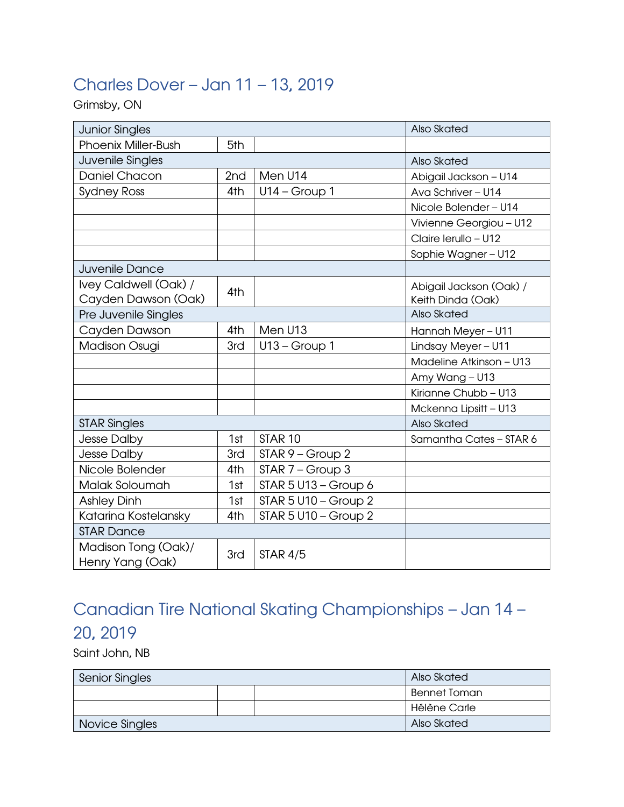## <span id="page-9-0"></span>Charles Dover – Jan 11 – 13, 2019

Grimsby, ON

| <b>Junior Singles</b>      |     |                        | Also Skated             |
|----------------------------|-----|------------------------|-------------------------|
| <b>Phoenix Miller-Bush</b> | 5th |                        |                         |
| Juvenile Singles           |     |                        | Also Skated             |
| Daniel Chacon              | 2nd | Men U14                | Abigail Jackson - U14   |
| <b>Sydney Ross</b>         | 4th | $U14 - Group 1$        | Ava Schriver - U14      |
|                            |     |                        | Nicole Bolender - U14   |
|                            |     |                        | Vivienne Georgiou - U12 |
|                            |     |                        | Claire lerullo - U12    |
|                            |     |                        | Sophie Wagner - U12     |
| Juvenile Dance             |     |                        |                         |
| Ivey Caldwell (Oak) /      | 4th |                        | Abigail Jackson (Oak) / |
| Cayden Dawson (Oak)        |     |                        | Keith Dinda (Oak)       |
| Pre Juvenile Singles       |     |                        | Also Skated             |
| Cayden Dawson              | 4th | Men U13                | Hannah Meyer - U11      |
| <b>Madison Osugi</b>       | 3rd | $U13 - Group 1$        | Lindsay Meyer - U11     |
|                            |     |                        | Madeline Atkinson - U13 |
|                            |     |                        | Amy Wang - U13          |
|                            |     |                        | Kirianne Chubb - U13    |
|                            |     |                        | Mckenna Lipsitt - U13   |
| <b>STAR Singles</b>        |     |                        | Also Skated             |
| <b>Jesse Dalby</b>         | 1st | STAR <sub>10</sub>     | Samantha Cates - STAR 6 |
| <b>Jesse Dalby</b>         | 3rd | STAR 9 - Group 2       |                         |
| Nicole Bolender            | 4th | STAR 7 - Group 3       |                         |
| Malak Soloumah             | 1st | $STAR 5 U13 - Group 6$ |                         |
| <b>Ashley Dinh</b>         | 1st | $STAR 5 U10 - Group 2$ |                         |
| Katarina Kostelansky       | 4th | $STAR 5 U10 - Group 2$ |                         |
| <b>STAR Dance</b>          |     |                        |                         |
| Madison Tong (Oak)/        | 3rd | <b>STAR 4/5</b>        |                         |
| Henry Yang (Oak)           |     |                        |                         |

## <span id="page-9-1"></span>Canadian Tire National Skating Championships – Jan 14 – 20, 2019

Saint John, NB

| <b>Senior Singles</b> |  |  | Also Skated         |
|-----------------------|--|--|---------------------|
|                       |  |  | <b>Bennet Toman</b> |
|                       |  |  | Hélène Carle        |
| Novice Singles        |  |  | Also Skated         |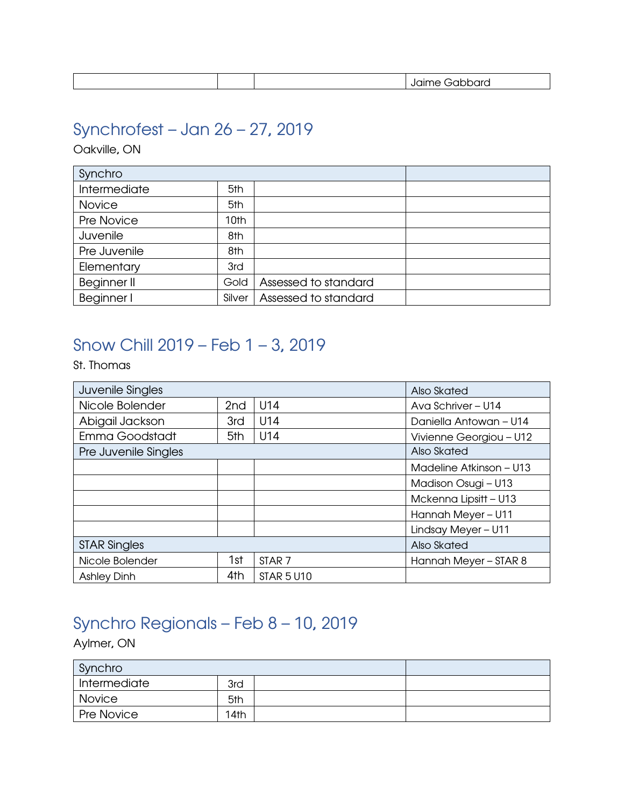|  |  |  |  | _ _ _ _ _ _ |
|--|--|--|--|-------------|
|--|--|--|--|-------------|

## <span id="page-10-0"></span>Synchrofest – Jan 26 – 27, 2019

Oakville, ON

| Synchro       |                  |                      |  |
|---------------|------------------|----------------------|--|
| Intermediate  | 5th              |                      |  |
| <b>Novice</b> | 5th              |                      |  |
| Pre Novice    | 10 <sub>th</sub> |                      |  |
| Juvenile      | 8th              |                      |  |
| Pre Juvenile  | 8th              |                      |  |
| Elementary    | 3rd              |                      |  |
| Beginner II   | Gold             | Assessed to standard |  |
| Beginner I    | Silver           | Assessed to standard |  |

### <span id="page-10-1"></span>Snow Chill 2019 – Feb 1 – 3, 2019

St. Thomas

| Juvenile Singles     |                 |                   | Also Skated             |
|----------------------|-----------------|-------------------|-------------------------|
| Nicole Bolender      | 2 <sub>nd</sub> | U14               | Ava Schriver - U14      |
| Abigail Jackson      | 3rd             | U14               | Daniella Antowan - U14  |
| Emma Goodstadt       | 5th             | U14               | Vivienne Georgiou - U12 |
| Pre Juvenile Singles |                 |                   | Also Skated             |
|                      |                 |                   | Madeline Atkinson - U13 |
|                      |                 |                   | Madison Osugi - U13     |
|                      |                 |                   | Mckenna Lipsitt - U13   |
|                      |                 |                   | Hannah Meyer - U11      |
|                      |                 |                   | Lindsay Meyer - U11     |
| <b>STAR Singles</b>  |                 |                   | Also Skated             |
| Nicole Bolender      | 1st             | STAR <sub>7</sub> | Hannah Meyer - STAR 8   |
| <b>Ashley Dinh</b>   | 4th             | <b>STAR 5 U10</b> |                         |

# <span id="page-10-2"></span>Synchro Regionals – Feb 8 – 10, 2019

Aylmer, ON

| Synchro                   |      |  |
|---------------------------|------|--|
| <sup>I</sup> Intermediate | 3rd  |  |
| Novice                    | 5th  |  |
| <b>Pre Novice</b>         | 14th |  |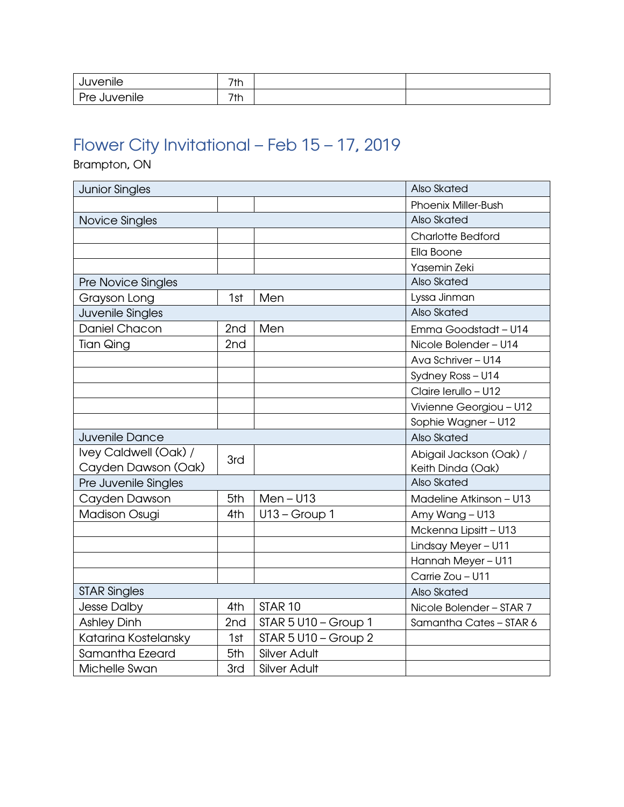| <br><b>Tvenile</b>                    | $7+L$<br>ΊŊ |  |
|---------------------------------------|-------------|--|
| Dr <sub>o</sub><br>uvenile<br>J!<br>∼ | 7th         |  |

# <span id="page-11-0"></span>Flower City Invitational – Feb 15 – 17, 2019

Brampton, ON

| <b>Junior Singles</b>     |                    |                        | Also Skated                |
|---------------------------|--------------------|------------------------|----------------------------|
|                           |                    |                        | <b>Phoenix Miller-Bush</b> |
| Novice Singles            | <b>Also Skated</b> |                        |                            |
|                           |                    |                        | <b>Charlotte Bedford</b>   |
|                           |                    |                        | Ella Boone                 |
|                           |                    |                        | Yasemin Zeki               |
| <b>Pre Novice Singles</b> |                    |                        | Also Skated                |
| Grayson Long              | 1st                | Men                    | Lyssa Jinman               |
| Juvenile Singles          |                    |                        | Also Skated                |
| Daniel Chacon             | 2nd                | Men                    | Emma Goodstadt - U14       |
| <b>Tian Qing</b>          | 2nd                |                        | Nicole Bolender - U14      |
|                           |                    |                        | Ava Schriver - U14         |
|                           |                    |                        | Sydney Ross - U14          |
|                           |                    |                        | Claire Ierullo - U12       |
|                           |                    |                        | Vivienne Georgiou - U12    |
|                           |                    |                        | Sophie Wagner - U12        |
| Juvenile Dance            |                    |                        | Also Skated                |
| Ivey Caldwell (Oak) /     | 3rd                |                        | Abigail Jackson (Oak) /    |
| Cayden Dawson (Oak)       |                    |                        | Keith Dinda (Oak)          |
| Pre Juvenile Singles      |                    |                        | Also Skated                |
| Cayden Dawson             | 5th                | $Men - U13$            | Madeline Atkinson - U13    |
| <b>Madison Osugi</b>      | 4th                | $U13 - Group 1$        | Amy Wang - U13             |
|                           |                    |                        | Mckenna Lipsitt - U13      |
|                           |                    |                        | Lindsay Meyer - U11        |
|                           |                    |                        | Hannah Meyer - U11         |
|                           |                    |                        | Carrie Zou - U11           |
| <b>STAR Singles</b>       |                    |                        | Also Skated                |
| <b>Jesse Dalby</b>        | 4th                | STAR <sub>10</sub>     | Nicole Bolender - STAR 7   |
| <b>Ashley Dinh</b>        | 2 <sub>nd</sub>    | $STAR 5 U10 - Group 1$ | Samantha Cates - STAR 6    |
| Katarina Kostelansky      | 1st                | STAR $5$ U10 - Group 2 |                            |
| Samantha Ezeard           | 5th                | <b>Silver Adult</b>    |                            |
| Michelle Swan             | 3rd                | <b>Silver Adult</b>    |                            |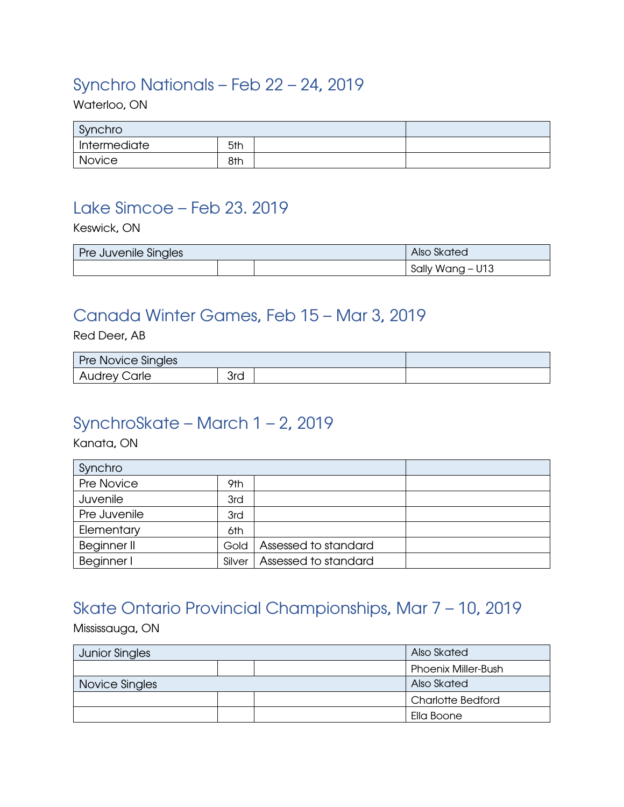#### <span id="page-12-0"></span>Synchro Nationals – Feb 22 – 24, 2019

Waterloo, ON

| Synchro      |     |  |
|--------------|-----|--|
| Intermediate | 5th |  |
| Novice       | 8th |  |

#### <span id="page-12-1"></span>Lake Simcoe – Feb 23. 2019

Keswick, ON

| Pre Juvenile Singles |  |  | Also Skated      |
|----------------------|--|--|------------------|
|                      |  |  | Sally Wang - U13 |

#### <span id="page-12-2"></span>Canada Winter Games, Feb 15 – Mar 3, 2019

Red Deer, AB

| <b>Pre Novice Singles</b> |     |  |
|---------------------------|-----|--|
| <b>Audrey Carle</b>       | 3rd |  |

#### <span id="page-12-3"></span>SynchroSkate – March 1 – 2, 2019

Kanata, ON

| Synchro      |        |                      |  |
|--------------|--------|----------------------|--|
| Pre Novice   | 9th    |                      |  |
| Juvenile     | 3rd    |                      |  |
| Pre Juvenile | 3rd    |                      |  |
| Elementary   | 6th    |                      |  |
| Beginner II  | Gold   | Assessed to standard |  |
| Beginner I   | Silver | Assessed to standard |  |

# <span id="page-12-4"></span>Skate Ontario Provincial Championships, Mar 7 – 10, 2019

Mississauga, ON

| <b>Junior Singles</b> |  |  | Also Skated                |
|-----------------------|--|--|----------------------------|
|                       |  |  | <b>Phoenix Miller-Bush</b> |
| Novice Singles        |  |  | Also Skated                |
|                       |  |  | <b>Charlotte Bedford</b>   |
|                       |  |  | Ella Boone                 |